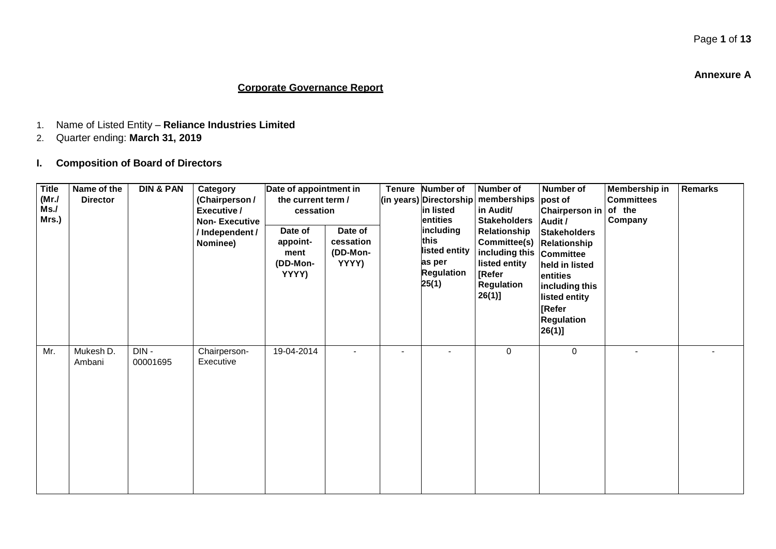**Annexure A**

### **Corporate Governance Report**

- 1. Name of Listed Entity **Reliance Industries Limited**
- 2. Quarter ending: **March 31, 2019**
- **I. Composition of Board of Directors**

| <b>Title</b><br>(MrJ)<br>Ms.<br>Mrs.) | Name of the<br><b>Director</b> | <b>DIN &amp; PAN</b> | Category<br>(Chairperson /<br>Executive /<br><b>Non-Executive</b><br>/Independent/<br>Nominee) | Date of appointment in<br>the current term /<br>cessation<br>Date of<br>appoint-<br>ment<br>(DD-Mon-<br>YYYY) | Date of<br>cessation<br>(DD-Mon-<br>YYYY) | Tenure Number of<br>(in years) Directorship<br>in listed<br>entities<br>including<br>this<br>listed entity<br>as per<br><b>Regulation</b><br>25(1) | <b>Number of</b><br>memberships<br>in Audit/<br><b>Stakeholders</b><br>Relationship<br>Committee(s)<br>including this Committee<br>listed entity<br>[Refer<br>Regulation<br>$26(1)$ ] | Number of<br>post of<br>Chairperson in<br>Audit /<br><b>Stakeholders</b><br>Relationship<br>held in listed<br>entities<br>including this<br>listed entity<br><b>Refer</b><br><b>Regulation</b><br>26(1)] | Membership in<br><b>Committees</b><br>of the<br>Company | <b>Remarks</b> |
|---------------------------------------|--------------------------------|----------------------|------------------------------------------------------------------------------------------------|---------------------------------------------------------------------------------------------------------------|-------------------------------------------|----------------------------------------------------------------------------------------------------------------------------------------------------|---------------------------------------------------------------------------------------------------------------------------------------------------------------------------------------|----------------------------------------------------------------------------------------------------------------------------------------------------------------------------------------------------------|---------------------------------------------------------|----------------|
| Mr.                                   | Mukesh D.<br>Ambani            | DIN-<br>00001695     | Chairperson-<br>Executive                                                                      | 19-04-2014                                                                                                    |                                           |                                                                                                                                                    | 0                                                                                                                                                                                     | 0                                                                                                                                                                                                        | $\blacksquare$                                          |                |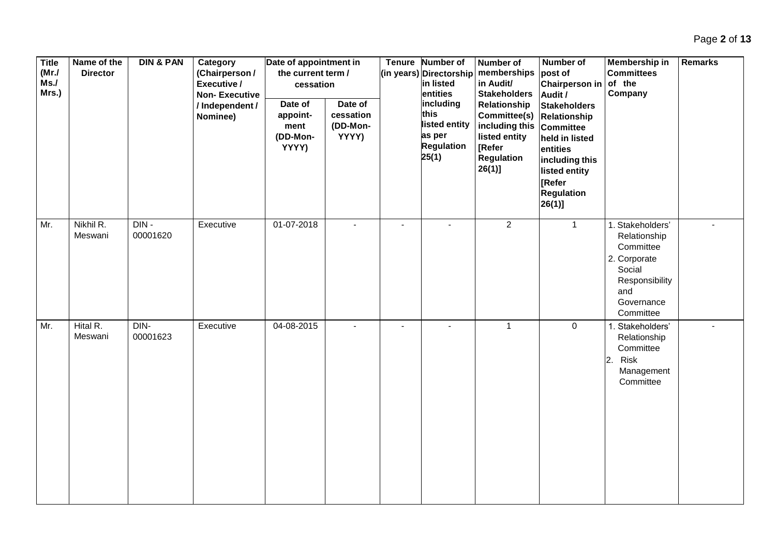| <b>Title</b><br>(MrJ)<br>Ms.<br>Mrs.) | Name of the<br><b>Director</b> | <b>DIN &amp; PAN</b> | Category<br>(Chairperson /<br>Executive /<br><b>Non-Executive</b><br>/ Independent /<br>Nominee) | Date of appointment in<br>the current term /<br>cessation<br>Date of<br>appoint-<br>ment<br>(DD-Mon-<br>YYYY) | Date of<br>cessation<br>(DD-Mon-<br>YYYY) |                          | Tenure Number of<br>(in years) Directorship<br>in listed<br>entities<br>including<br>this<br>listed entity<br>as per<br><b>Regulation</b><br>25(1) | <b>Number of</b><br>memberships<br>in Audit/<br><b>Stakeholders</b><br>Relationship<br>Committee(s) Relationship<br>including this Committee<br>listed entity<br>[Refer<br><b>Regulation</b><br>$26(1)$ ] | Number of<br>post of<br>Chairperson in<br>Audit /<br><b>Stakeholders</b><br>held in listed<br>entities<br>including this<br>listed entity<br><b>[Refer</b><br><b>Regulation</b><br>$26(1)$ ] | Membership in<br><b>Committees</b><br>of the<br>Company                                                                     | <b>Remarks</b> |
|---------------------------------------|--------------------------------|----------------------|--------------------------------------------------------------------------------------------------|---------------------------------------------------------------------------------------------------------------|-------------------------------------------|--------------------------|----------------------------------------------------------------------------------------------------------------------------------------------------|-----------------------------------------------------------------------------------------------------------------------------------------------------------------------------------------------------------|----------------------------------------------------------------------------------------------------------------------------------------------------------------------------------------------|-----------------------------------------------------------------------------------------------------------------------------|----------------|
| Mr.                                   | Nikhil R.<br>Meswani           | DIN-<br>00001620     | Executive                                                                                        | 01-07-2018                                                                                                    | $\blacksquare$                            | $\overline{\phantom{a}}$ | $\blacksquare$                                                                                                                                     | $\overline{2}$                                                                                                                                                                                            | $\overline{1}$                                                                                                                                                                               | 1. Stakeholders'<br>Relationship<br>Committee<br>2. Corporate<br>Social<br>Responsibility<br>and<br>Governance<br>Committee |                |
| Mr.                                   | Hital R.<br>Meswani            | DIN-<br>00001623     | Executive                                                                                        | 04-08-2015                                                                                                    |                                           | $\overline{a}$           | $\blacksquare$                                                                                                                                     | $\mathbf{1}$                                                                                                                                                                                              | $\mathbf 0$                                                                                                                                                                                  | 1. Stakeholders'<br>Relationship<br>Committee<br>Risk<br>2.<br>Management<br>Committee                                      |                |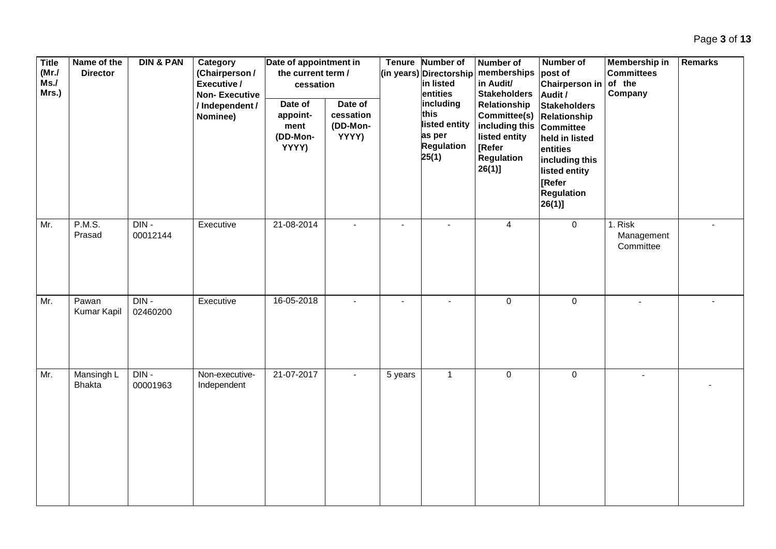| <b>Title</b><br>(MrJ)<br>Ms.<br>Mrs.) | Name of the<br><b>Director</b> | <b>DIN &amp; PAN</b> | Category<br>(Chairperson /<br>Executive /<br><b>Non-Executive</b><br>/Independent/<br>Nominee) | Date of appointment in<br>the current term /<br>cessation<br>Date of<br>appoint-<br>ment<br>(DD-Mon-<br>YYYY) | Date of<br>cessation<br>(DD-Mon-<br>YYYY) |                | Tenure Number of<br>(in years) Directorship<br>in listed<br>entities<br>including<br>this<br>listed entity<br>as per<br><b>Regulation</b><br>25(1) | <b>Number of</b><br>memberships<br>in Audit/<br><b>Stakeholders</b><br>Relationship<br>Committee(s)<br>including this Committee<br>listed entity<br>[Refer<br><b>Regulation</b><br>$26(1)$ ] | Number of<br>post of<br><b>Chairperson in</b><br>Audit /<br><b>Stakeholders</b><br>Relationship<br>held in listed<br>entities<br>including this<br>listed entity<br>[Refer<br><b>Regulation</b><br>$26(1)$ ] | Membership in<br><b>Committees</b><br>of the<br>Company | <b>Remarks</b> |
|---------------------------------------|--------------------------------|----------------------|------------------------------------------------------------------------------------------------|---------------------------------------------------------------------------------------------------------------|-------------------------------------------|----------------|----------------------------------------------------------------------------------------------------------------------------------------------------|----------------------------------------------------------------------------------------------------------------------------------------------------------------------------------------------|--------------------------------------------------------------------------------------------------------------------------------------------------------------------------------------------------------------|---------------------------------------------------------|----------------|
| Mr.                                   | <b>P.M.S.</b><br>Prasad        | DIN-<br>00012144     | Executive                                                                                      | 21-08-2014                                                                                                    |                                           | $\blacksquare$ | $\blacksquare$                                                                                                                                     | 4                                                                                                                                                                                            | $\mathbf 0$                                                                                                                                                                                                  | 1. Risk<br>Management<br>Committee                      |                |
| Mr.                                   | Pawan<br>Kumar Kapil           | DIN-<br>02460200     | Executive                                                                                      | 16-05-2018                                                                                                    |                                           |                |                                                                                                                                                    | $\boldsymbol{0}$                                                                                                                                                                             | $\mathbf 0$                                                                                                                                                                                                  | $\blacksquare$                                          |                |
| Mr.                                   | Mansingh L<br><b>Bhakta</b>    | $DIN -$<br>00001963  | Non-executive-<br>Independent                                                                  | 21-07-2017                                                                                                    |                                           | 5 years        | $\mathbf{1}$                                                                                                                                       | $\mathbf 0$                                                                                                                                                                                  | $\mathbf 0$                                                                                                                                                                                                  |                                                         |                |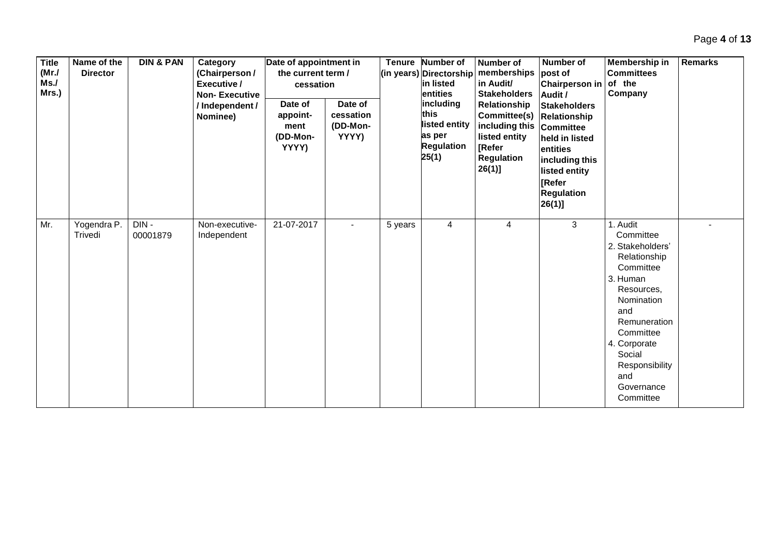| <b>Title</b><br>(MrJ)<br>Ms.<br>Mrs.) | Name of the<br><b>Director</b> | <b>DIN &amp; PAN</b> | Category<br>(Chairperson /<br>Executive /<br><b>Non-Executive</b><br>/ Independent /<br>Nominee) | Date of appointment in<br>the current term /<br>cessation<br>Date of<br>appoint-<br>ment<br>(DD-Mon-<br>YYYY) | Date of<br>cessation<br>(DD-Mon-<br>YYYY) | <b>Tenure</b> | <b>Number of</b><br>(in years) Directorship<br>in listed<br>entities<br>including<br>this<br>listed entity<br>as per<br><b>Regulation</b><br>25(1) | Number of<br>memberships<br>in Audit/<br><b>Stakeholders</b><br>Relationship<br>Committee(s) Relationship<br>including this<br>listed entity<br><b>[Refer</b><br><b>Regulation</b><br>$26(1)$ ] | Number of<br>post of<br><b>Chairperson in</b><br>Audit /<br><b>Stakeholders</b><br><b>Committee</b><br>held in listed<br>entities<br>including this<br>listed entity<br><b>IRefer</b><br><b>Regulation</b><br>$26(1)$ ] | Membership in<br><b>Committees</b><br>of the<br>Company                                                                                                                                                                          | <b>Remarks</b> |
|---------------------------------------|--------------------------------|----------------------|--------------------------------------------------------------------------------------------------|---------------------------------------------------------------------------------------------------------------|-------------------------------------------|---------------|----------------------------------------------------------------------------------------------------------------------------------------------------|-------------------------------------------------------------------------------------------------------------------------------------------------------------------------------------------------|-------------------------------------------------------------------------------------------------------------------------------------------------------------------------------------------------------------------------|----------------------------------------------------------------------------------------------------------------------------------------------------------------------------------------------------------------------------------|----------------|
| Mr.                                   | Yogendra P.<br>Trivedi         | DIN-<br>00001879     | Non-executive-<br>Independent                                                                    | 21-07-2017                                                                                                    |                                           | 5 years       | 4                                                                                                                                                  | 4                                                                                                                                                                                               | 3                                                                                                                                                                                                                       | 1. Audit<br>Committee<br>2. Stakeholders'<br>Relationship<br>Committee<br>3. Human<br>Resources,<br>Nomination<br>and<br>Remuneration<br>Committee<br>4. Corporate<br>Social<br>Responsibility<br>and<br>Governance<br>Committee |                |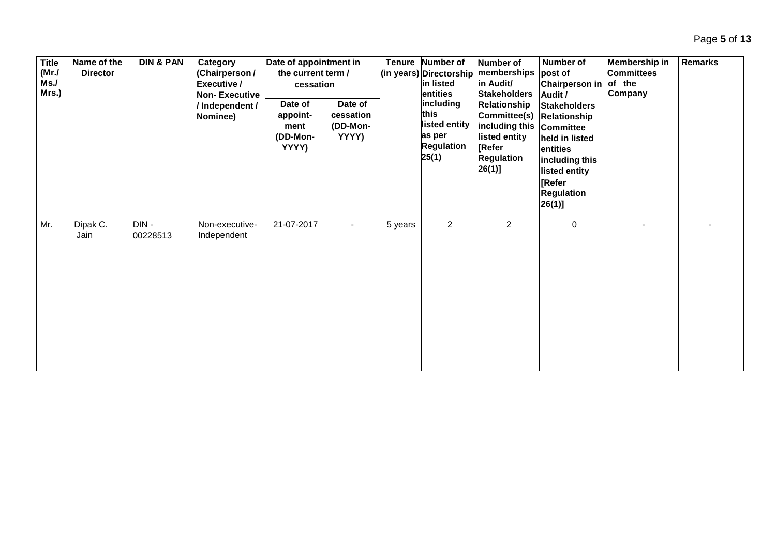| <b>Title</b><br>(MrJ)<br>Ms.<br>Mrs.) | Name of the<br><b>Director</b> | <b>DIN &amp; PAN</b> | Category<br>(Chairperson /<br>Executive /<br><b>Non-Executive</b><br>/Independent/<br>Nominee) | Date of appointment in<br>the current term /<br>cessation<br>Date of<br>appoint-<br>ment<br>(DD-Mon-<br>YYYY) | Date of<br>cessation<br>(DD-Mon-<br>YYYY) | <b>Tenure</b> | <b>Number of</b><br>(in years) Directorship<br>in listed<br>entities<br>including<br>this<br>listed entity<br>as per<br><b>Regulation</b><br>25(1) | Number of<br>memberships<br>in Audit/<br><b>Stakeholders</b><br>Relationship<br>Committee(s) Relationship<br>including this Committee<br>listed entity<br>[Refer<br>Regulation<br>$26(1)$ ] | Number of<br>post of<br>Chairperson in<br>Audit /<br><b>Stakeholders</b><br>held in listed<br>entities<br>including this<br>listed entity<br>[Refer<br><b>Regulation</b><br>$26(1)$ ] | Membership in<br><b>Committees</b><br>of the<br>Company | Remarks |
|---------------------------------------|--------------------------------|----------------------|------------------------------------------------------------------------------------------------|---------------------------------------------------------------------------------------------------------------|-------------------------------------------|---------------|----------------------------------------------------------------------------------------------------------------------------------------------------|---------------------------------------------------------------------------------------------------------------------------------------------------------------------------------------------|---------------------------------------------------------------------------------------------------------------------------------------------------------------------------------------|---------------------------------------------------------|---------|
| Mr.                                   | Dipak C.<br>Jain               | DIN-<br>00228513     | Non-executive-<br>Independent                                                                  | 21-07-2017                                                                                                    | $\blacksquare$                            | 5 years       | $\overline{2}$                                                                                                                                     | $\overline{2}$                                                                                                                                                                              | $\mathbf 0$                                                                                                                                                                           |                                                         |         |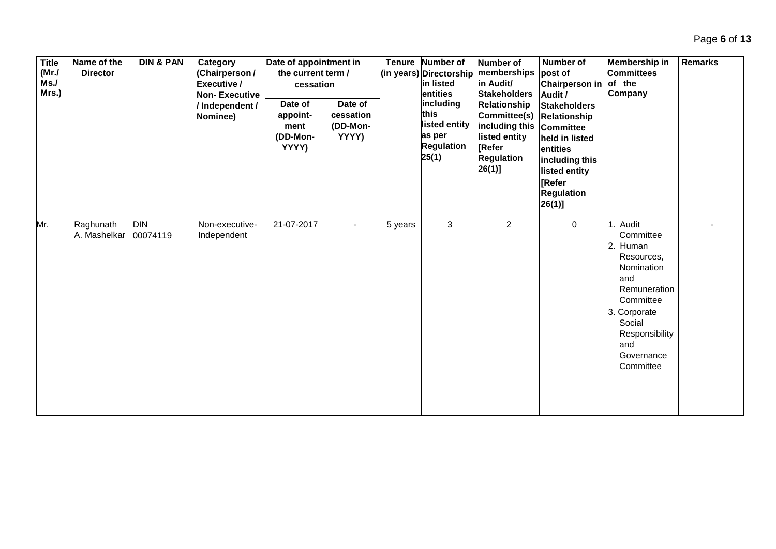| <b>Title</b><br>(MrJ)<br>Ms.<br>Mrs.) | Name of the<br><b>Director</b> | <b>DIN &amp; PAN</b>   | Category<br>(Chairperson /<br>Executive /<br><b>Non-Executive</b><br>/ Independent /<br>Nominee) | Date of appointment in<br>the current term /<br>cessation<br>Date of<br>appoint-<br>ment<br>(DD-Mon-<br>YYYY) | Date of<br>cessation<br>(DD-Mon-<br>YYYY) | <b>Tenure</b> | Number of<br>(in years) Directorship<br>in listed<br>entities<br>including<br>this<br>listed entity<br>as per<br><b>Regulation</b><br>25(1) | <b>Number of</b><br>memberships<br>in Audit/<br><b>Stakeholders</b><br>Relationship<br>Committee(s)<br>including this Committee<br>listed entity<br>[Refer<br>Regulation<br>$26(1)$ ] | <b>Number of</b><br>post of<br><b>Chairperson in</b><br>Audit /<br><b>Stakeholders</b><br>Relationship<br>held in listed<br>entities<br>including this<br>listed entity<br><b>Refer</b><br><b>Regulation</b><br>26(1) | Membership in<br><b>Committees</b><br>of the<br>Company                                                                                                                      | <b>Remarks</b> |
|---------------------------------------|--------------------------------|------------------------|--------------------------------------------------------------------------------------------------|---------------------------------------------------------------------------------------------------------------|-------------------------------------------|---------------|---------------------------------------------------------------------------------------------------------------------------------------------|---------------------------------------------------------------------------------------------------------------------------------------------------------------------------------------|-----------------------------------------------------------------------------------------------------------------------------------------------------------------------------------------------------------------------|------------------------------------------------------------------------------------------------------------------------------------------------------------------------------|----------------|
| Mr.                                   | Raghunath<br>A. Mashelkar      | <b>DIN</b><br>00074119 | Non-executive-<br>Independent                                                                    | 21-07-2017                                                                                                    |                                           | 5 years       | 3                                                                                                                                           | $\overline{c}$                                                                                                                                                                        | $\mathbf 0$                                                                                                                                                                                                           | Audit<br>Committee<br>2. Human<br>Resources,<br>Nomination<br>and<br>Remuneration<br>Committee<br>3. Corporate<br>Social<br>Responsibility<br>and<br>Governance<br>Committee |                |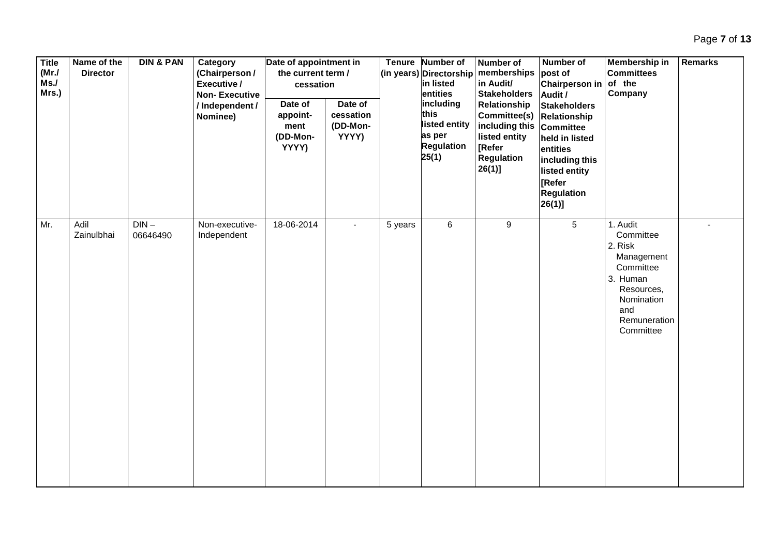| <b>Title</b><br>(MrJ)<br>Ms.<br>Mrs.) | Name of the<br><b>Director</b> | <b>DIN &amp; PAN</b> | Category<br>(Chairperson /<br>Executive /<br><b>Non-Executive</b><br>/ Independent /<br>Nominee) | Date of appointment in<br>the current term /<br>cessation<br>Date of<br>appoint-<br>ment<br>(DD-Mon-<br>YYYY) | Date of<br>cessation<br>(DD-Mon-<br>YYYY) |         | Tenure Number of<br>(in years) Directorship<br>in listed<br>entities<br>including<br>this<br>listed entity<br>as per<br><b>Regulation</b><br>25(1) | <b>Number of</b><br>memberships<br>in Audit/<br><b>Stakeholders</b><br>Relationship<br>Committee(s)<br>including this<br>listed entity<br>[Refer<br><b>Regulation</b><br>$26(1)$ ] | Number of<br>post of<br><b>Chairperson in</b><br>Audit /<br><b>Stakeholders</b><br><b>Relationship</b><br><b>Committee</b><br>held in listed<br>entities<br>including this<br>listed entity<br>[Refer<br><b>Regulation</b><br>$26(1)$ ] | Membership in<br><b>Committees</b><br>of the<br>Company                                                                                 | Remarks |
|---------------------------------------|--------------------------------|----------------------|--------------------------------------------------------------------------------------------------|---------------------------------------------------------------------------------------------------------------|-------------------------------------------|---------|----------------------------------------------------------------------------------------------------------------------------------------------------|------------------------------------------------------------------------------------------------------------------------------------------------------------------------------------|-----------------------------------------------------------------------------------------------------------------------------------------------------------------------------------------------------------------------------------------|-----------------------------------------------------------------------------------------------------------------------------------------|---------|
| Mr.                                   | Adil<br>Zainulbhai             | $DIN -$<br>06646490  | Non-executive-<br>Independent                                                                    | 18-06-2014                                                                                                    | $\blacksquare$                            | 5 years | 6                                                                                                                                                  | 9                                                                                                                                                                                  | $5\overline{)}$                                                                                                                                                                                                                         | 1. Audit<br>Committee<br>2. Risk<br>Management<br>Committee<br>3. Human<br>Resources,<br>Nomination<br>and<br>Remuneration<br>Committee |         |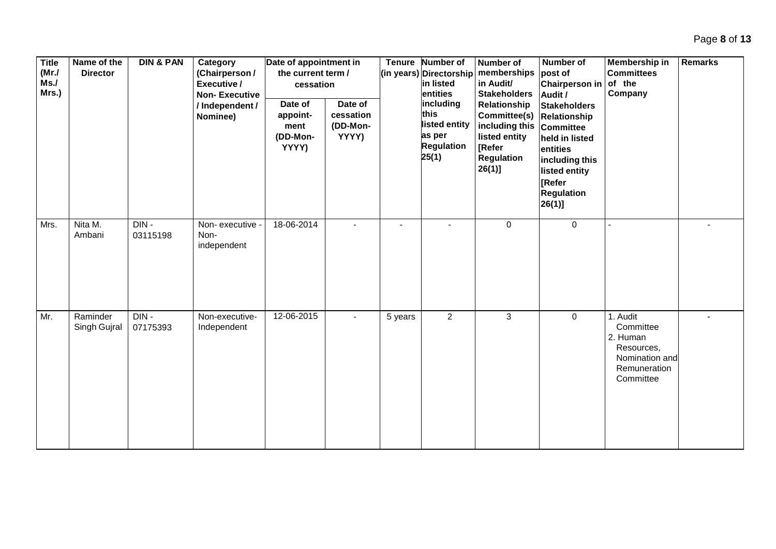| <b>Title</b><br>(MrJ)<br>Ms.<br>Mrs.) | Name of the<br><b>Director</b> | <b>DIN &amp; PAN</b> | Category<br>(Chairperson /<br>Executive /<br><b>Non-Executive</b><br>/ Independent /<br>Nominee) | Date of appointment in<br>the current term /<br>cessation<br>Date of<br>appoint-<br>ment<br>(DD-Mon-<br>YYYY) | Date of<br>cessation<br>(DD-Mon-<br>YYYY) | <b>Tenure</b> | Number of<br>(in years) Directorship<br>in listed<br>entities<br>including<br>this<br>listed entity<br>as per<br><b>Regulation</b><br>25(1) | Number of<br>memberships<br>in Audit/<br><b>Stakeholders</b><br>Relationship<br>Committee(s) Relationship<br>including this<br>listed entity<br>[Refer<br>Regulation<br>$26(1)$ ] | Number of<br>post of<br><b>Chairperson in</b><br>Audit /<br><b>Stakeholders</b><br>Committee<br>held in listed<br>entities<br>including this<br>listed entity<br><b>[Refer</b><br><b>Regulation</b><br>$26(1)$ ] | Membership in<br><b>Committees</b><br>of the<br>Company                                        | <b>Remarks</b> |
|---------------------------------------|--------------------------------|----------------------|--------------------------------------------------------------------------------------------------|---------------------------------------------------------------------------------------------------------------|-------------------------------------------|---------------|---------------------------------------------------------------------------------------------------------------------------------------------|-----------------------------------------------------------------------------------------------------------------------------------------------------------------------------------|------------------------------------------------------------------------------------------------------------------------------------------------------------------------------------------------------------------|------------------------------------------------------------------------------------------------|----------------|
| Mrs.                                  | Nita M.<br>Ambani              | $DIN -$<br>03115198  | Non-executive -<br>Non-<br>independent                                                           | 18-06-2014                                                                                                    |                                           |               |                                                                                                                                             | $\mathbf 0$                                                                                                                                                                       | $\mathbf 0$                                                                                                                                                                                                      |                                                                                                |                |
| Mr.                                   | Raminder<br>Singh Gujral       | DIN-<br>07175393     | Non-executive-<br>Independent                                                                    | 12-06-2015                                                                                                    |                                           | 5 years       | $\overline{2}$                                                                                                                              | 3                                                                                                                                                                                 | $\mathbf 0$                                                                                                                                                                                                      | 1. Audit<br>Committee<br>2. Human<br>Resources,<br>Nomination and<br>Remuneration<br>Committee |                |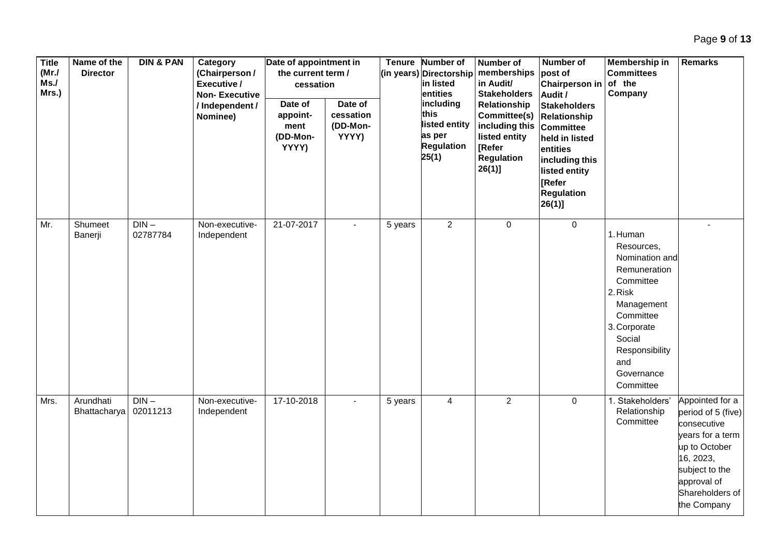| <b>Title</b><br>(MrJ)<br>Ms.<br>Mrs.) | Name of the<br><b>Director</b> | <b>DIN &amp; PAN</b> | Category<br>(Chairperson /<br>Executive /<br><b>Non-Executive</b><br>/ Independent /<br>Nominee) | Date of appointment in<br>the current term /<br>cessation<br>Date of<br>appoint-<br>ment<br>(DD-Mon-<br>YYYY) | Date of<br>cessation<br>(DD-Mon-<br>YYYY) | <b>Tenure</b> | <b>Number of</b><br>(in years) Directorship<br>in listed<br>entities<br>including<br>this<br>listed entity<br>as per<br><b>Regulation</b><br>25(1) | <b>Number of</b><br>memberships<br>in Audit/<br><b>Stakeholders</b><br>Relationship<br>Committee(s)<br>including this<br>listed entity<br>[Refer<br><b>Regulation</b><br>$26(1)$ ] | Number of<br>post of<br>Chairperson in<br>Audit /<br><b>Stakeholders</b><br>Relationship<br><b>Committee</b><br>held in listed<br>entities<br>including this<br>listed entity<br>[Refer<br><b>Regulation</b><br> 26(1) | Membership in<br><b>Committees</b><br>of the<br>Company                                                                                                                                   | <b>Remarks</b>                                                                                                                                                            |
|---------------------------------------|--------------------------------|----------------------|--------------------------------------------------------------------------------------------------|---------------------------------------------------------------------------------------------------------------|-------------------------------------------|---------------|----------------------------------------------------------------------------------------------------------------------------------------------------|------------------------------------------------------------------------------------------------------------------------------------------------------------------------------------|------------------------------------------------------------------------------------------------------------------------------------------------------------------------------------------------------------------------|-------------------------------------------------------------------------------------------------------------------------------------------------------------------------------------------|---------------------------------------------------------------------------------------------------------------------------------------------------------------------------|
| Mr.                                   | Shumeet<br>Banerji             | $DIN -$<br>02787784  | Non-executive-<br>Independent                                                                    | 21-07-2017                                                                                                    |                                           | 5 years       | $\overline{2}$                                                                                                                                     | 0                                                                                                                                                                                  | $\mathbf 0$                                                                                                                                                                                                            | 1. Human<br>Resources,<br>Nomination and<br>Remuneration<br>Committee<br>2. Risk<br>Management<br>Committee<br>3. Corporate<br>Social<br>Responsibility<br>and<br>Governance<br>Committee |                                                                                                                                                                           |
| Mrs.                                  | Arundhati<br>Bhattacharya      | $DIN -$<br>02011213  | Non-executive-<br>Independent                                                                    | 17-10-2018                                                                                                    | $\blacksquare$                            | 5 years       | $\overline{4}$                                                                                                                                     | $\overline{2}$                                                                                                                                                                     | $\overline{0}$                                                                                                                                                                                                         | 1. Stakeholders'<br>Relationship<br>Committee                                                                                                                                             | Appointed for a<br>period of 5 (five)<br>consecutive<br>years for a term<br>up to October<br>16, 2023,<br>subject to the<br>approval of<br>Shareholders of<br>the Company |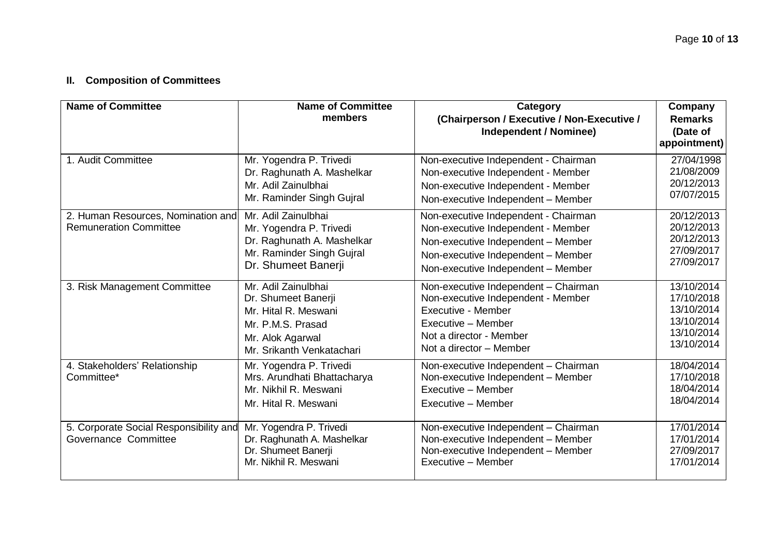## **II. Composition of Committees**

| <b>Name of Committee</b>                                            | <b>Name of Committee</b><br>members                                                                                                      | Category<br>(Chairperson / Executive / Non-Executive /<br><b>Independent / Nominee)</b>                                                                                                      | Company<br><b>Remarks</b><br>(Date of<br>appointment)                            |
|---------------------------------------------------------------------|------------------------------------------------------------------------------------------------------------------------------------------|----------------------------------------------------------------------------------------------------------------------------------------------------------------------------------------------|----------------------------------------------------------------------------------|
| 1. Audit Committee                                                  | Mr. Yogendra P. Trivedi<br>Dr. Raghunath A. Mashelkar<br>Mr. Adil Zainulbhai<br>Mr. Raminder Singh Gujral                                | Non-executive Independent - Chairman<br>Non-executive Independent - Member<br>Non-executive Independent - Member<br>Non-executive Independent - Member                                       | 27/04/1998<br>21/08/2009<br>20/12/2013<br>07/07/2015                             |
| 2. Human Resources, Nomination and<br><b>Remuneration Committee</b> | Mr. Adil Zainulbhai<br>Mr. Yogendra P. Trivedi<br>Dr. Raghunath A. Mashelkar<br>Mr. Raminder Singh Gujral<br>Dr. Shumeet Banerji         | Non-executive Independent - Chairman<br>Non-executive Independent - Member<br>Non-executive Independent - Member<br>Non-executive Independent - Member<br>Non-executive Independent - Member | 20/12/2013<br>20/12/2013<br>20/12/2013<br>27/09/2017<br>27/09/2017               |
| 3. Risk Management Committee                                        | Mr. Adil Zainulbhai<br>Dr. Shumeet Banerji<br>Mr. Hital R. Meswani<br>Mr. P.M.S. Prasad<br>Mr. Alok Agarwal<br>Mr. Srikanth Venkatachari | Non-executive Independent - Chairman<br>Non-executive Independent - Member<br>Executive - Member<br>Executive - Member<br>Not a director - Member<br>Not a director - Member                 | 13/10/2014<br>17/10/2018<br>13/10/2014<br>13/10/2014<br>13/10/2014<br>13/10/2014 |
| 4. Stakeholders' Relationship<br>Committee*                         | Mr. Yogendra P. Trivedi<br>Mrs. Arundhati Bhattacharya<br>Mr. Nikhil R. Meswani<br>Mr. Hital R. Meswani                                  | Non-executive Independent - Chairman<br>Non-executive Independent - Member<br>Executive - Member<br>Executive - Member                                                                       | 18/04/2014<br>17/10/2018<br>18/04/2014<br>18/04/2014                             |
| 5. Corporate Social Responsibility and<br>Governance Committee      | Mr. Yogendra P. Trivedi<br>Dr. Raghunath A. Mashelkar<br>Dr. Shumeet Banerji<br>Mr. Nikhil R. Meswani                                    | Non-executive Independent - Chairman<br>Non-executive Independent - Member<br>Non-executive Independent - Member<br>Executive - Member                                                       | 17/01/2014<br>17/01/2014<br>27/09/2017<br>17/01/2014                             |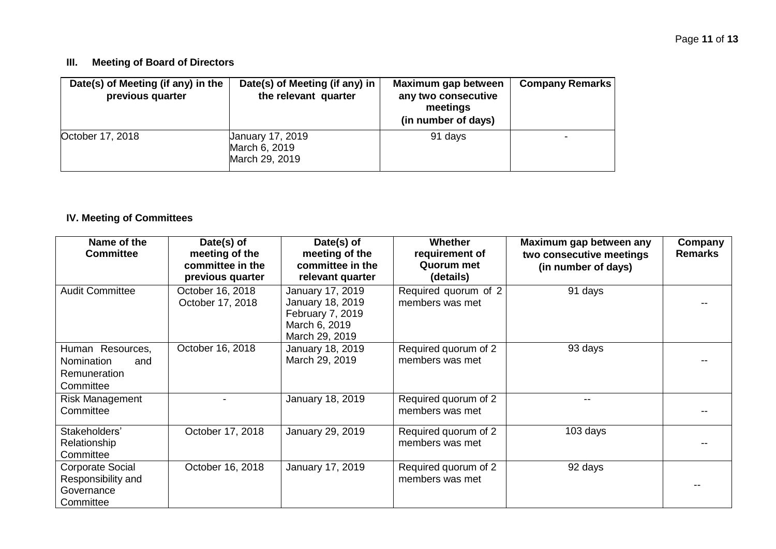### **III. Meeting of Board of Directors**

| Date(s) of Meeting (if any) in the<br>previous quarter | Date(s) of Meeting (if any) in<br>the relevant quarter     | Maximum gap between<br>any two consecutive<br>meetings<br>(in number of days) | <b>Company Remarks</b> |
|--------------------------------------------------------|------------------------------------------------------------|-------------------------------------------------------------------------------|------------------------|
| October 17, 2018                                       | <b>January 17, 2019</b><br>March 6, 2019<br>March 29, 2019 | 91 days                                                                       |                        |

### **IV. Meeting of Committees**

| Name of the<br><b>Committee</b>                                          | Date(s) of<br>meeting of the<br>committee in the<br>previous quarter | Date(s) of<br>meeting of the<br>committee in the<br>relevant quarter                        | <b>Whether</b><br>requirement of<br>Quorum met<br>(details) | Maximum gap between any<br>two consecutive meetings<br>(in number of days) | Company<br><b>Remarks</b> |
|--------------------------------------------------------------------------|----------------------------------------------------------------------|---------------------------------------------------------------------------------------------|-------------------------------------------------------------|----------------------------------------------------------------------------|---------------------------|
| <b>Audit Committee</b>                                                   | October 16, 2018<br>October 17, 2018                                 | January 17, 2019<br>January 18, 2019<br>February 7, 2019<br>March 6, 2019<br>March 29, 2019 | Required quorum of 2<br>members was met                     | 91 days                                                                    |                           |
| Human Resources,<br>Nomination<br>and<br>Remuneration<br>Committee       | October 16, 2018                                                     | January 18, 2019<br>March 29, 2019                                                          | Required quorum of 2<br>members was met                     | 93 days                                                                    |                           |
| <b>Risk Management</b><br>Committee                                      |                                                                      | January 18, 2019                                                                            | Required quorum of 2<br>members was met                     |                                                                            |                           |
| Stakeholders'<br>Relationship<br>Committee                               | October 17, 2018                                                     | January 29, 2019                                                                            | Required quorum of 2<br>members was met                     | 103 days                                                                   |                           |
| <b>Corporate Social</b><br>Responsibility and<br>Governance<br>Committee | October 16, 2018                                                     | January 17, 2019                                                                            | Required quorum of 2<br>members was met                     | 92 days                                                                    |                           |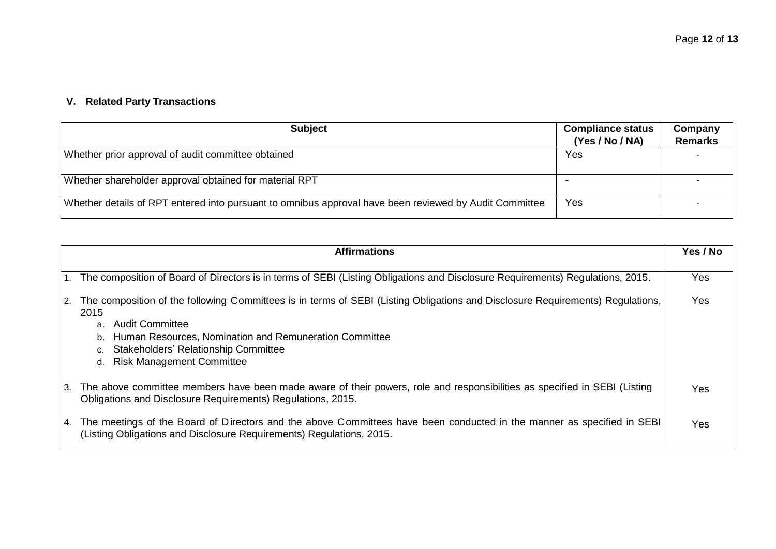# **V. Related Party Transactions**

| <b>Subject</b>                                                                                         | <b>Compliance status</b><br>(Yes / No / NA) | Company<br><b>Remarks</b> |
|--------------------------------------------------------------------------------------------------------|---------------------------------------------|---------------------------|
| Whether prior approval of audit committee obtained                                                     | Yes                                         |                           |
| Whether shareholder approval obtained for material RPT                                                 |                                             |                           |
| Whether details of RPT entered into pursuant to omnibus approval have been reviewed by Audit Committee | Yes                                         |                           |

| <b>Affirmations</b>                                                                                                                                                                                                                                                                                                               | Yes / No |
|-----------------------------------------------------------------------------------------------------------------------------------------------------------------------------------------------------------------------------------------------------------------------------------------------------------------------------------|----------|
| 1. The composition of Board of Directors is in terms of SEBI (Listing Obligations and Disclosure Requirements) Regulations, 2015.                                                                                                                                                                                                 | Yes      |
| 2. The composition of the following Committees is in terms of SEBI (Listing Obligations and Disclosure Requirements) Regulations,<br>2015<br>Audit Committee<br>a.<br>Human Resources, Nomination and Remuneration Committee<br>b.<br><b>Stakeholders' Relationship Committee</b><br>c.<br><b>Risk Management Committee</b><br>d. | Yes      |
| 3. The above committee members have been made aware of their powers, role and responsibilities as specified in SEBI (Listing<br>Obligations and Disclosure Requirements) Regulations, 2015.                                                                                                                                       | Yes      |
| 4. The meetings of the Board of Directors and the above Committees have been conducted in the manner as specified in SEBI<br>(Listing Obligations and Disclosure Requirements) Regulations, 2015.                                                                                                                                 | Yes      |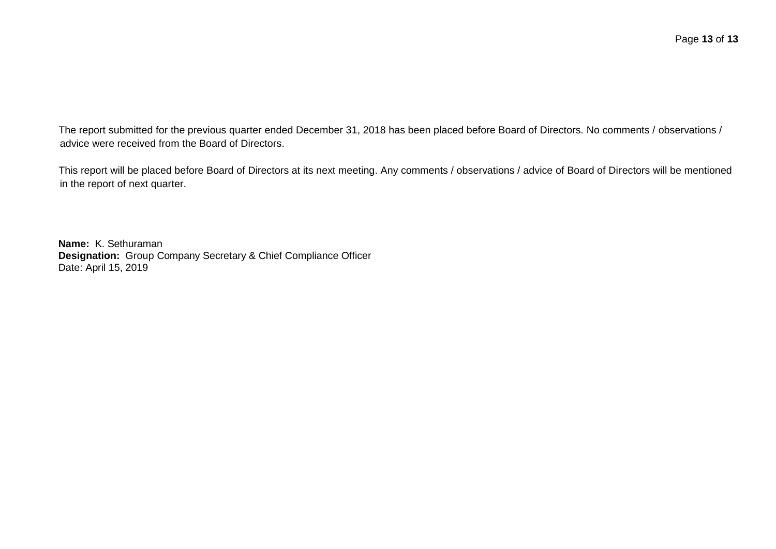The report submitted for the previous quarter ended December 31, 2018 has been placed before Board of Directors. No comments / observations / advice were received from the Board of Directors.

This report will be placed before Board of Directors at its next meeting. Any comments / observations / advice of Board of Directors will be mentioned in the report of next quarter.

**Name:** K. Sethuraman **Designation:** Group Company Secretary & Chief Compliance Officer Date: April 15, 2019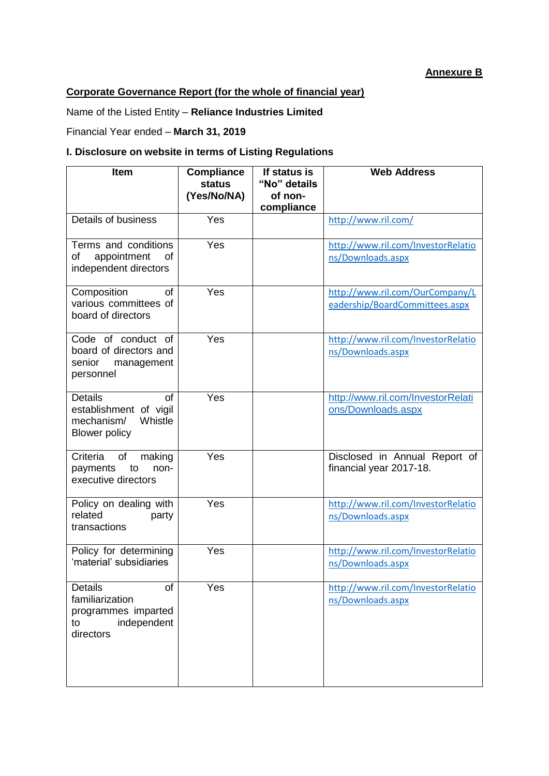### **Annexure B**

## **Corporate Governance Report (for the whole of financial year)**

Name of the Listed Entity – **Reliance Industries Limited**

Financial Year ended – **March 31, 2019**

### **I. Disclosure on website in terms of Listing Regulations**

| <b>Item</b>                                                                                             | <b>Compliance</b><br>status<br>(Yes/No/NA) | If status is<br>"No" details<br>of non-<br>compliance | <b>Web Address</b>                                                |
|---------------------------------------------------------------------------------------------------------|--------------------------------------------|-------------------------------------------------------|-------------------------------------------------------------------|
| Details of business                                                                                     | Yes                                        |                                                       | http://www.ril.com/                                               |
| Terms and conditions<br>appointment<br>of<br>οf<br>independent directors                                | Yes                                        |                                                       | http://www.ril.com/InvestorRelatio<br>ns/Downloads.aspx           |
| Composition<br><b>of</b><br>various committees of<br>board of directors                                 | Yes                                        |                                                       | http://www.ril.com/OurCompany/L<br>eadership/BoardCommittees.aspx |
| Code of conduct of<br>board of directors and<br>senior<br>management<br>personnel                       | Yes                                        |                                                       | http://www.ril.com/InvestorRelatio<br>ns/Downloads.aspx           |
| <b>Details</b><br><b>of</b><br>establishment of vigil<br>Whistle<br>mechanism/<br><b>Blower policy</b>  | Yes                                        |                                                       | http://www.ril.com/InvestorRelati<br>ons/Downloads.aspx           |
| Criteria<br>0f<br>making<br>payments<br>to<br>non-<br>executive directors                               | Yes                                        |                                                       | Disclosed in Annual Report of<br>financial year 2017-18.          |
| Policy on dealing with<br>related<br>party<br>transactions                                              | Yes                                        |                                                       | http://www.ril.com/InvestorRelatio<br>ns/Downloads.aspx           |
| Policy for determining<br>'material' subsidiaries                                                       | Yes                                        |                                                       | http://www.ril.com/InvestorRelatio<br>ns/Downloads.aspx           |
| <b>Details</b><br><b>of</b><br>familiarization<br>programmes imparted<br>independent<br>to<br>directors | Yes                                        |                                                       | http://www.ril.com/InvestorRelatio<br>ns/Downloads.aspx           |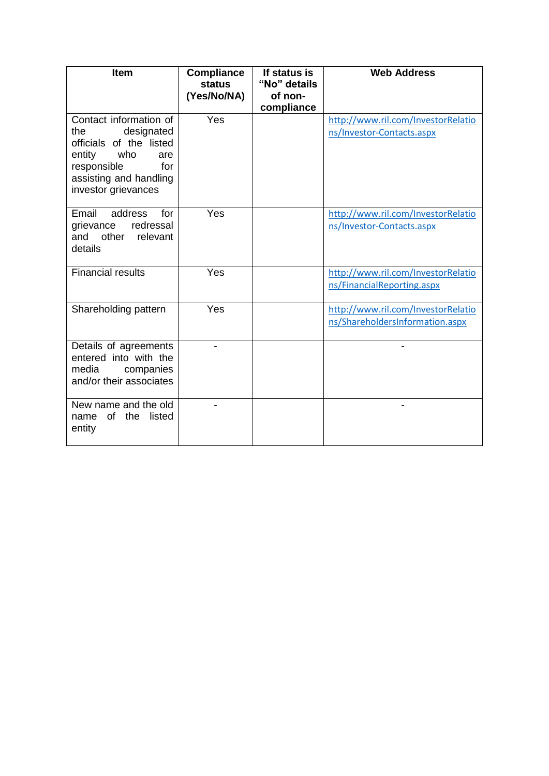| <b>Item</b>                                                                                                                                                            | <b>Compliance</b><br><b>status</b><br>(Yes/No/NA) | If status is<br>"No" details<br>of non-<br>compliance | <b>Web Address</b>                                                    |
|------------------------------------------------------------------------------------------------------------------------------------------------------------------------|---------------------------------------------------|-------------------------------------------------------|-----------------------------------------------------------------------|
| Contact information of<br>designated<br>the.<br>officials of the listed<br>who<br>entity<br>are<br>responsible<br>for<br>assisting and handling<br>investor grievances | Yes                                               |                                                       | http://www.ril.com/InvestorRelatio<br>ns/Investor-Contacts.aspx       |
| Email<br>address<br>for<br>grievance<br>redressal<br>other<br>and<br>relevant<br>details                                                                               | Yes                                               |                                                       | http://www.ril.com/InvestorRelatio<br>ns/Investor-Contacts.aspx       |
| <b>Financial results</b>                                                                                                                                               | Yes                                               |                                                       | http://www.ril.com/InvestorRelatio<br>ns/FinancialReporting.aspx      |
| Shareholding pattern                                                                                                                                                   | Yes                                               |                                                       | http://www.ril.com/InvestorRelatio<br>ns/ShareholdersInformation.aspx |
| Details of agreements<br>entered into with the<br>media<br>companies<br>and/or their associates                                                                        |                                                   |                                                       |                                                                       |
| New name and the old<br>of the<br>listed<br>name<br>entity                                                                                                             |                                                   |                                                       |                                                                       |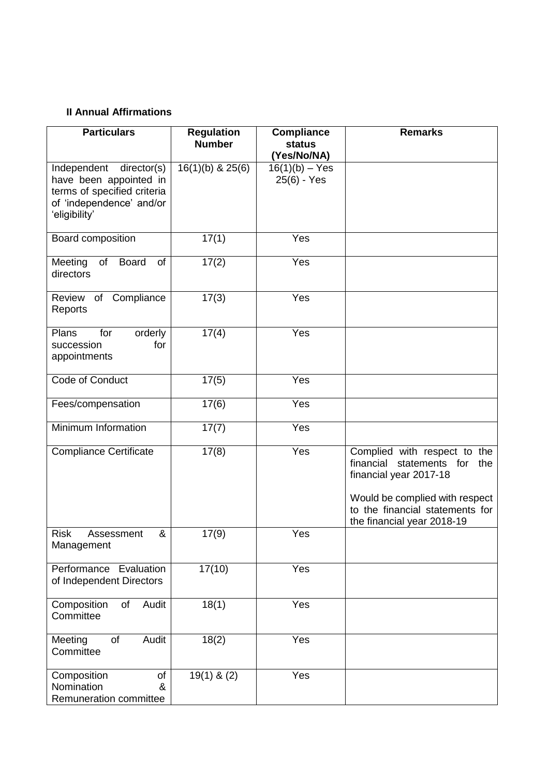### **II Annual Affirmations**

| <b>Particulars</b>                                                                                                               | <b>Regulation</b><br><b>Number</b> | <b>Compliance</b><br><b>status</b><br>(Yes/No/NA) | <b>Remarks</b>                                                                                                                                                                               |
|----------------------------------------------------------------------------------------------------------------------------------|------------------------------------|---------------------------------------------------|----------------------------------------------------------------------------------------------------------------------------------------------------------------------------------------------|
| Independent<br>director(s)<br>have been appointed in<br>terms of specified criteria<br>of 'independence' and/or<br>'eligibility' | $16(1)(b)$ & $25(6)$               | $16(1)(b) - Yes$<br>25(6) - Yes                   |                                                                                                                                                                                              |
| Board composition                                                                                                                | 17(1)                              | Yes                                               |                                                                                                                                                                                              |
| of<br><b>Board</b><br>Meeting<br>of<br>directors                                                                                 | 17(2)                              | Yes                                               |                                                                                                                                                                                              |
| Compliance<br>Review of<br>Reports                                                                                               | 17(3)                              | Yes                                               |                                                                                                                                                                                              |
| Plans<br>orderly<br>for<br>succession<br>for<br>appointments                                                                     | 17(4)                              | Yes                                               |                                                                                                                                                                                              |
| Code of Conduct                                                                                                                  | 17(5)                              | Yes                                               |                                                                                                                                                                                              |
| Fees/compensation                                                                                                                | 17(6)                              | Yes                                               |                                                                                                                                                                                              |
| Minimum Information                                                                                                              | 17(7)                              | $\overline{Y}$ es                                 |                                                                                                                                                                                              |
| <b>Compliance Certificate</b>                                                                                                    | 17(8)                              | Yes                                               | Complied with respect to the<br>financial statements for<br>the<br>financial year 2017-18<br>Would be complied with respect<br>to the financial statements for<br>the financial year 2018-19 |
| <b>Risk</b><br>&<br>Assessment<br>Management                                                                                     | 17(9)                              | Yes                                               |                                                                                                                                                                                              |
| Performance Evaluation<br>of Independent Directors                                                                               | 17(10)                             | Yes                                               |                                                                                                                                                                                              |
| Audit<br>Composition<br>of<br>Committee                                                                                          | 18(1)                              | Yes                                               |                                                                                                                                                                                              |
| <b>Audit</b><br>of<br>Meeting<br>Committee                                                                                       | 18(2)                              | Yes                                               |                                                                                                                                                                                              |
| Composition<br>of<br>Nomination<br>&<br>Remuneration committee                                                                   | $19(1)$ & (2)                      | Yes                                               |                                                                                                                                                                                              |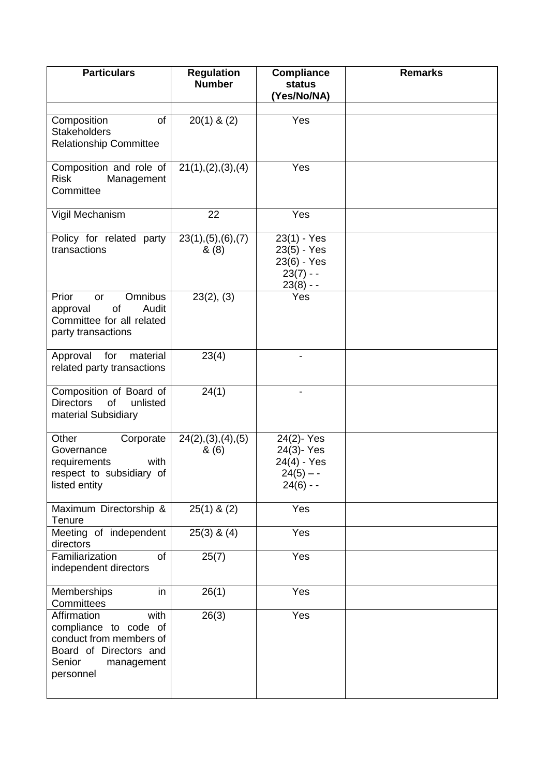| <b>Particulars</b>                                                                                                                     | <b>Regulation</b><br><b>Number</b> | <b>Compliance</b><br><b>status</b><br>Yes/No/NA)                      | <b>Remarks</b> |
|----------------------------------------------------------------------------------------------------------------------------------------|------------------------------------|-----------------------------------------------------------------------|----------------|
| Composition<br>of<br><b>Stakeholders</b><br><b>Relationship Committee</b>                                                              | $20(1)$ & $(2)$                    | Yes                                                                   |                |
| Composition and role of<br><b>Risk</b><br>Management<br>Committee                                                                      | 21(1), (2), (3), (4)               | Yes                                                                   |                |
| Vigil Mechanism                                                                                                                        | 22                                 | Yes                                                                   |                |
| Policy for related party<br>transactions                                                                                               | 23(1), (5), (6), (7)<br>& (8)      | 23(1) - Yes<br>23(5) - Yes<br>23(6) - Yes<br>$23(7) -$<br>$23(8) - -$ |                |
| Prior<br><b>Omnibus</b><br><b>or</b><br>of<br>Audit<br>approval<br>Committee for all related<br>party transactions                     | 23(2), (3)                         | Yes                                                                   |                |
| Approval<br>for<br>material<br>related party transactions                                                                              | 23(4)                              | -                                                                     |                |
| Composition of Board of<br><b>Directors</b><br>of<br>unlisted<br>material Subsidiary                                                   | 24(1)                              |                                                                       |                |
| Other<br>Corporate<br>Governance<br>requirements<br>with<br>respect to subsidiary of<br>listed entity                                  | 24(2), (3), (4), (5)<br>& (6)      | 24(2)-Yes<br>24(3)-Yes<br>24(4) - Yes<br>$24(5) - -$<br>$24(6) -$     |                |
| Maximum Directorship &<br>Tenure                                                                                                       | $25(1)$ & $(2)$                    | Yes                                                                   |                |
| Meeting of independent<br>directors                                                                                                    | $25(3)$ & $(4)$                    | Yes                                                                   |                |
| Familiarization<br>of<br>independent directors                                                                                         | 25(7)                              | Yes                                                                   |                |
| in<br>Memberships<br>Committees                                                                                                        | 26(1)                              | Yes                                                                   |                |
| Affirmation<br>with<br>compliance to code of<br>conduct from members of<br>Board of Directors and<br>Senior<br>management<br>personnel | 26(3)                              | Yes                                                                   |                |